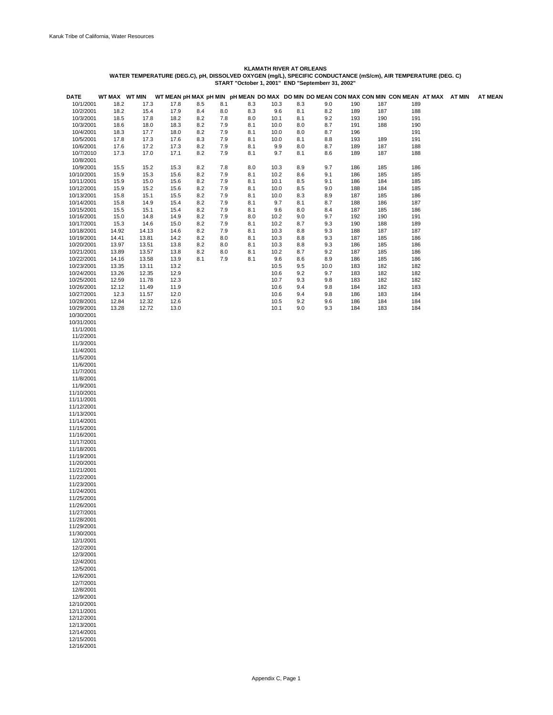| <b>DATE</b>              | WT MAX WT MIN  |                | WT MEAN pH MAX pH MIN pH MEAN DO MAX DO MIN DO MEAN CON MAX CON MIN CON MEAN AT MAX AT MIN |            |            |            |              |            |            |            |            |            |  | <b>AT MEAN</b> |
|--------------------------|----------------|----------------|--------------------------------------------------------------------------------------------|------------|------------|------------|--------------|------------|------------|------------|------------|------------|--|----------------|
| 10/1/2001                | 18.2           | 17.3           | 17.8                                                                                       | 8.5        | 8.1        | 8.3        | 10.3         | 8.3        | 9.0        | 190        | 187        | 189        |  |                |
| 10/2/2001                | 18.2           | 15.4           | 17.9                                                                                       | 8.4        | 8.0        | 8.3        | 9.6          | 8.1        | 8.2        | 189        | 187        | 188        |  |                |
| 10/3/2001<br>10/3/2001   | 18.5<br>18.6   | 17.8<br>18.0   | 18.2<br>18.3                                                                               | 8.2<br>8.2 | 7.8<br>7.9 | 8.0<br>8.1 | 10.1<br>10.0 | 8.1<br>8.0 | 9.2<br>8.7 | 193<br>191 | 190<br>188 | 191<br>190 |  |                |
| 10/4/2001                | 18.3           | 17.7           | 18.0                                                                                       | 8.2        | 7.9        | 8.1        | 10.0         | 8.0        | 8.7        | 196        |            | 191        |  |                |
| 10/5/2001                | 17.8           | 17.3           | 17.6                                                                                       | 8.3        | 7.9        | 8.1        | 10.0         | 8.1        | 8.8        | 193        | 189        | 191        |  |                |
| 10/6/2001                | 17.6           | 17.2           | 17.3                                                                                       | 8.2        | 7.9        | 8.1        | 9.9          | 8.0        | 8.7        | 189        | 187        | 188        |  |                |
| 10/7/2010                | 17.3           | 17.0           | 17.1                                                                                       | 8.2        | 7.9        | 8.1        | 9.7          | 8.1        | 8.6        | 189        | 187        | 188        |  |                |
| 10/8/2001                |                |                |                                                                                            |            |            |            |              |            |            |            |            |            |  |                |
| 10/9/2001                | 15.5           | 15.2           | 15.3                                                                                       | 8.2        | 7.8        | 8.0        | 10.3         | 8.9        | 9.7        | 186        | 185        | 186        |  |                |
| 10/10/2001<br>10/11/2001 | 15.9<br>15.9   | 15.3<br>15.0   | 15.6<br>15.6                                                                               | 8.2<br>8.2 | 7.9<br>7.9 | 8.1<br>8.1 | 10.2<br>10.1 | 8.6<br>8.5 | 9.1<br>9.1 | 186<br>186 | 185<br>184 | 185<br>185 |  |                |
| 10/12/2001               | 15.9           | 15.2           | 15.6                                                                                       | 8.2        | 7.9        | 8.1        | 10.0         | 8.5        | 9.0        | 188        | 184        | 185        |  |                |
| 10/13/2001               | 15.8           | 15.1           | 15.5                                                                                       | 8.2        | 7.9        | 8.1        | 10.0         | 8.3        | 8.9        | 187        | 185        | 186        |  |                |
| 10/14/2001               | 15.8           | 14.9           | 15.4                                                                                       | 8.2        | 7.9        | 8.1        | 9.7          | 8.1        | 8.7        | 188        | 186        | 187        |  |                |
| 10/15/2001               | 15.5           | 15.1           | 15.4                                                                                       | 8.2        | 7.9        | 8.1        | 9.6          | 8.0        | 8.4        | 187        | 185        | 186        |  |                |
| 10/16/2001               | 15.0           | 14.8           | 14.9                                                                                       | 8.2        | 7.9        | 8.0        | 10.2         | 9.0        | 9.7        | 192        | 190        | 191        |  |                |
| 10/17/2001<br>10/18/2001 | 15.3<br>14.92  | 14.6<br>14.13  | 15.0<br>14.6                                                                               | 8.2<br>8.2 | 7.9<br>7.9 | 8.1<br>8.1 | 10.2<br>10.3 | 8.7<br>8.8 | 9.3<br>9.3 | 190<br>188 | 188<br>187 | 189<br>187 |  |                |
| 10/19/2001               | 14.41          | 13.81          | 14.2                                                                                       | 8.2        | 8.0        | 8.1        | 10.3         | 8.8        | 9.3        | 187        | 185        | 186        |  |                |
| 10/20/2001               | 13.97          | 13.51          | 13.8                                                                                       | 8.2        | 8.0        | 8.1        | 10.3         | 8.8        | 9.3        | 186        | 185        | 186        |  |                |
| 10/21/2001               | 13.89          | 13.57          | 13.8                                                                                       | 8.2        | 8.0        | 8.1        | 10.2         | 8.7        | 9.2        | 187        | 185        | 186        |  |                |
| 10/22/2001               | 14.16          | 13.58          | 13.9                                                                                       | 8.1        | 7.9        | 8.1        | 9.6          | 8.6        | 8.9        | 186        | 185        | 186        |  |                |
| 10/23/2001               | 13.35          | 13.11          | 13.2                                                                                       |            |            |            | 10.5         | 9.5        | 10.0       | 183        | 182        | 182        |  |                |
| 10/24/2001               | 13.26          | 12.35          | 12.9                                                                                       |            |            |            | 10.6<br>10.7 | 9.2        | 9.7        | 183        | 182        | 182<br>182 |  |                |
| 10/25/2001<br>10/26/2001 | 12.59<br>12.12 | 11.78<br>11.49 | 12.3<br>11.9                                                                               |            |            |            | 10.6         | 9.3<br>9.4 | 9.8<br>9.8 | 183<br>184 | 182<br>182 | 183        |  |                |
| 10/27/2001               | 12.3           | 11.57          | 12.0                                                                                       |            |            |            | 10.6         | 9.4        | 9.8        | 186        | 183        | 184        |  |                |
| 10/28/2001               | 12.84          | 12.32          | 12.6                                                                                       |            |            |            | 10.5         | 9.2        | 9.6        | 186        | 184        | 184        |  |                |
| 10/29/2001               | 13.28          | 12.72          | 13.0                                                                                       |            |            |            | 10.1         | 9.0        | 9.3        | 184        | 183        | 184        |  |                |
| 10/30/2001               |                |                |                                                                                            |            |            |            |              |            |            |            |            |            |  |                |
| 10/31/2001<br>11/1/2001  |                |                |                                                                                            |            |            |            |              |            |            |            |            |            |  |                |
| 11/2/2001                |                |                |                                                                                            |            |            |            |              |            |            |            |            |            |  |                |
| 11/3/2001                |                |                |                                                                                            |            |            |            |              |            |            |            |            |            |  |                |
| 11/4/2001                |                |                |                                                                                            |            |            |            |              |            |            |            |            |            |  |                |
| 11/5/2001                |                |                |                                                                                            |            |            |            |              |            |            |            |            |            |  |                |
| 11/6/2001                |                |                |                                                                                            |            |            |            |              |            |            |            |            |            |  |                |
| 11/7/2001<br>11/8/2001   |                |                |                                                                                            |            |            |            |              |            |            |            |            |            |  |                |
| 11/9/2001                |                |                |                                                                                            |            |            |            |              |            |            |            |            |            |  |                |
| 11/10/2001               |                |                |                                                                                            |            |            |            |              |            |            |            |            |            |  |                |
| 11/11/2001               |                |                |                                                                                            |            |            |            |              |            |            |            |            |            |  |                |
| 11/12/2001               |                |                |                                                                                            |            |            |            |              |            |            |            |            |            |  |                |
| 11/13/2001<br>11/14/2001 |                |                |                                                                                            |            |            |            |              |            |            |            |            |            |  |                |
| 11/15/2001               |                |                |                                                                                            |            |            |            |              |            |            |            |            |            |  |                |
| 11/16/2001               |                |                |                                                                                            |            |            |            |              |            |            |            |            |            |  |                |
| 11/17/2001               |                |                |                                                                                            |            |            |            |              |            |            |            |            |            |  |                |
| 11/18/2001               |                |                |                                                                                            |            |            |            |              |            |            |            |            |            |  |                |
| 11/19/2001<br>11/20/2001 |                |                |                                                                                            |            |            |            |              |            |            |            |            |            |  |                |
| 11/21/2001               |                |                |                                                                                            |            |            |            |              |            |            |            |            |            |  |                |
| 11/22/2001               |                |                |                                                                                            |            |            |            |              |            |            |            |            |            |  |                |
| 11/23/2001               |                |                |                                                                                            |            |            |            |              |            |            |            |            |            |  |                |
| 11/24/2001               |                |                |                                                                                            |            |            |            |              |            |            |            |            |            |  |                |
| 11/25/2001<br>11/26/2001 |                |                |                                                                                            |            |            |            |              |            |            |            |            |            |  |                |
| 11/27/2001               |                |                |                                                                                            |            |            |            |              |            |            |            |            |            |  |                |
| 11/28/2001               |                |                |                                                                                            |            |            |            |              |            |            |            |            |            |  |                |
| 11/29/2001               |                |                |                                                                                            |            |            |            |              |            |            |            |            |            |  |                |
| 11/30/2001               |                |                |                                                                                            |            |            |            |              |            |            |            |            |            |  |                |
| 12/1/2001<br>12/2/2001   |                |                |                                                                                            |            |            |            |              |            |            |            |            |            |  |                |
| 12/3/2001                |                |                |                                                                                            |            |            |            |              |            |            |            |            |            |  |                |
| 12/4/2001                |                |                |                                                                                            |            |            |            |              |            |            |            |            |            |  |                |
| 12/5/2001                |                |                |                                                                                            |            |            |            |              |            |            |            |            |            |  |                |
| 12/6/2001                |                |                |                                                                                            |            |            |            |              |            |            |            |            |            |  |                |
| 12/7/2001<br>12/8/2001   |                |                |                                                                                            |            |            |            |              |            |            |            |            |            |  |                |
| 12/9/2001                |                |                |                                                                                            |            |            |            |              |            |            |            |            |            |  |                |
| 12/10/2001               |                |                |                                                                                            |            |            |            |              |            |            |            |            |            |  |                |
| 12/11/2001               |                |                |                                                                                            |            |            |            |              |            |            |            |            |            |  |                |
| 12/12/2001               |                |                |                                                                                            |            |            |            |              |            |            |            |            |            |  |                |
| 12/13/2001<br>12/14/2001 |                |                |                                                                                            |            |            |            |              |            |            |            |            |            |  |                |
| 12/15/2001               |                |                |                                                                                            |            |            |            |              |            |            |            |            |            |  |                |
| 12/16/2001               |                |                |                                                                                            |            |            |            |              |            |            |            |            |            |  |                |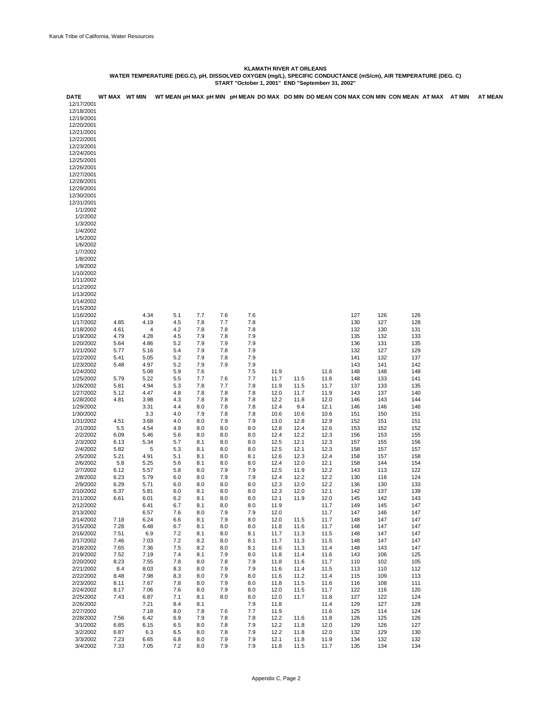| <b>DATE</b> | WT MAX WT MIN |      |          |     |     |     |      |      |      |     |     | WT MEAN pH MAX pH MIN pH MEAN DO MAX DO MIN DO MEAN CON MAX CON MIN CON MEAN AT MAX AT MIN |  | <b>AT MEAN</b> |
|-------------|---------------|------|----------|-----|-----|-----|------|------|------|-----|-----|--------------------------------------------------------------------------------------------|--|----------------|
| 12/17/2001  |               |      |          |     |     |     |      |      |      |     |     |                                                                                            |  |                |
| 12/18/2001  |               |      |          |     |     |     |      |      |      |     |     |                                                                                            |  |                |
| 12/19/2001  |               |      |          |     |     |     |      |      |      |     |     |                                                                                            |  |                |
|             |               |      |          |     |     |     |      |      |      |     |     |                                                                                            |  |                |
| 12/20/2001  |               |      |          |     |     |     |      |      |      |     |     |                                                                                            |  |                |
| 12/21/2001  |               |      |          |     |     |     |      |      |      |     |     |                                                                                            |  |                |
| 12/22/2001  |               |      |          |     |     |     |      |      |      |     |     |                                                                                            |  |                |
| 12/23/2001  |               |      |          |     |     |     |      |      |      |     |     |                                                                                            |  |                |
| 12/24/2001  |               |      |          |     |     |     |      |      |      |     |     |                                                                                            |  |                |
| 12/25/2001  |               |      |          |     |     |     |      |      |      |     |     |                                                                                            |  |                |
| 12/26/2001  |               |      |          |     |     |     |      |      |      |     |     |                                                                                            |  |                |
| 12/27/2001  |               |      |          |     |     |     |      |      |      |     |     |                                                                                            |  |                |
| 12/28/2001  |               |      |          |     |     |     |      |      |      |     |     |                                                                                            |  |                |
| 12/29/2001  |               |      |          |     |     |     |      |      |      |     |     |                                                                                            |  |                |
| 12/30/2001  |               |      |          |     |     |     |      |      |      |     |     |                                                                                            |  |                |
| 12/31/2001  |               |      |          |     |     |     |      |      |      |     |     |                                                                                            |  |                |
| 1/1/2002    |               |      |          |     |     |     |      |      |      |     |     |                                                                                            |  |                |
| 1/2/2002    |               |      |          |     |     |     |      |      |      |     |     |                                                                                            |  |                |
| 1/3/2002    |               |      |          |     |     |     |      |      |      |     |     |                                                                                            |  |                |
| 1/4/2002    |               |      |          |     |     |     |      |      |      |     |     |                                                                                            |  |                |
| 1/5/2002    |               |      |          |     |     |     |      |      |      |     |     |                                                                                            |  |                |
| 1/6/2002    |               |      |          |     |     |     |      |      |      |     |     |                                                                                            |  |                |
| 1/7/2002    |               |      |          |     |     |     |      |      |      |     |     |                                                                                            |  |                |
|             |               |      |          |     |     |     |      |      |      |     |     |                                                                                            |  |                |
| 1/8/2002    |               |      |          |     |     |     |      |      |      |     |     |                                                                                            |  |                |
| 1/9/2002    |               |      |          |     |     |     |      |      |      |     |     |                                                                                            |  |                |
| 1/10/2002   |               |      |          |     |     |     |      |      |      |     |     |                                                                                            |  |                |
| 1/11/2002   |               |      |          |     |     |     |      |      |      |     |     |                                                                                            |  |                |
| 1/12/2002   |               |      |          |     |     |     |      |      |      |     |     |                                                                                            |  |                |
| 1/13/2002   |               |      |          |     |     |     |      |      |      |     |     |                                                                                            |  |                |
| 1/14/2002   |               |      |          |     |     |     |      |      |      |     |     |                                                                                            |  |                |
| 1/15/2002   |               |      |          |     |     |     |      |      |      |     |     |                                                                                            |  |                |
| 1/16/2002   |               | 4.34 | 5.1      | 7.7 | 7.6 | 7.6 |      |      |      | 127 | 126 | 126                                                                                        |  |                |
| 1/17/2002   | 4.85          | 4.19 | 4.5      | 7.8 | 7.7 | 7.8 |      |      |      | 130 | 127 | 128                                                                                        |  |                |
| 1/18/2002   | 4.61          |      | 4<br>4.2 | 7.8 | 7.8 | 7.8 |      |      |      | 132 | 130 | 131                                                                                        |  |                |
| 1/19/2002   | 4.79          | 4.28 | 4.5      | 7.9 | 7.8 | 7.9 |      |      |      | 135 | 132 | 133                                                                                        |  |                |
| 1/20/2002   | 5.64          | 4.86 | 5.2      | 7.9 | 7.9 | 7.9 |      |      |      | 136 | 131 | 135                                                                                        |  |                |
| 1/21/2002   | 5.77          | 5.16 | 5.4      | 7.9 | 7.8 | 7.9 |      |      |      | 132 | 127 | 129                                                                                        |  |                |
| 1/22/2002   | 5.41          | 5.05 | 5.2      | 7.9 | 7.8 | 7.9 |      |      |      | 141 | 132 | 137                                                                                        |  |                |
| 1/23/2002   | 5.48          | 4.97 | 5.2      | 7.9 | 7.9 | 7.9 |      |      |      | 143 | 141 | 142                                                                                        |  |                |
| 1/24/2002   |               | 5.08 | 5.9      | 7.6 |     | 7.5 | 11.9 |      | 11.6 | 148 | 148 | 148                                                                                        |  |                |
| 1/25/2002   | 5.79          | 5.22 | 5.5      | 7.7 | 7.6 | 7.7 | 11.7 | 11.5 | 11.6 | 148 | 133 | 141                                                                                        |  |                |
|             | 5.81          | 4.94 | 5.3      | 7.8 | 7.7 | 7.8 | 11.9 | 11.5 | 11.7 | 137 |     | 135                                                                                        |  |                |
| 1/26/2002   |               |      |          |     |     |     |      |      |      |     | 133 |                                                                                            |  |                |
| 1/27/2002   | 5.12          | 4.47 | 4.8      | 7.8 | 7.8 | 7.8 | 12.0 | 11.7 | 11.9 | 143 | 137 | 140                                                                                        |  |                |
| 1/28/2002   | 4.81          | 3.98 | 4.3      | 7.8 | 7.8 | 7.8 | 12.2 | 11.8 | 12.0 | 146 | 143 | 144                                                                                        |  |                |
| 1/29/2002   |               | 3.31 | 4.4      | 8.0 | 7.8 | 7.8 | 12.4 | 9.4  | 12.1 | 146 | 146 | 146                                                                                        |  |                |
| 1/30/2002   |               | 3.3  | 4.0      | 7.9 | 7.8 | 7.8 | 10.6 | 10.6 | 10.6 | 151 | 150 | 151                                                                                        |  |                |
| 1/31/2002   | 4.51          | 3.68 | 4.0      | 8.0 | 7.9 | 7.9 | 13.0 | 12.8 | 12.9 | 152 | 151 | 151                                                                                        |  |                |
| 2/1/2002    | 5.5           | 4.54 | 4.9      | 8.0 | 8.0 | 8.0 | 12.8 | 12.4 | 12.6 | 153 | 152 | 152                                                                                        |  |                |
| 2/2/2002    | 6.09          | 5.46 | 5.6      | 8.0 | 8.0 | 8.0 | 12.4 | 12.2 | 12.3 | 156 | 153 | 155                                                                                        |  |                |
| 2/3/2002    | 6.13          | 5.34 | 5.7      | 8.1 | 8.0 | 8.0 | 12.5 | 12.1 | 12.3 | 157 | 155 | 156                                                                                        |  |                |
| 2/4/2002    | 5.82          | 5    | 5.3      | 8.1 | 8.0 | 8.0 | 12.5 | 12.1 | 12.3 | 158 | 157 | 157                                                                                        |  |                |
| 2/5/2002    | 5.21          | 4.91 | 5.1      | 8.1 | 8.0 | 8.1 | 12.6 | 12.3 | 12.4 | 158 | 157 | 158                                                                                        |  |                |
| 2/6/2002    | 5.8           | 5.25 | 5.6      | 8.1 | 8.0 | 8.0 | 12.4 | 12.0 | 12.1 | 158 | 144 | 154                                                                                        |  |                |
| 2/7/2002    | 6.12          | 5.57 | 5.8      | 8.0 | 7.9 | 7.9 | 12.5 | 11.9 | 12.2 | 143 | 113 | 122                                                                                        |  |                |
| 2/8/2002    | 6.23          | 5.79 | 6.0      | 8.0 | 7.9 | 7.9 | 12.4 | 12.2 | 12.2 | 130 | 116 | 124                                                                                        |  |                |
| 2/9/2002    | 6.29          | 5.71 | 6.0      | 8.0 | 8.0 | 8.0 | 12.3 | 12.0 | 12.2 | 136 | 130 | 133                                                                                        |  |                |
| 2/10/2002   | 6.37          | 5.81 | 6.0      | 8.1 | 8.0 | 8.0 | 12.3 | 12.0 | 12.1 | 142 | 137 | 139                                                                                        |  |                |
| 2/11/2002   | 6.61          | 6.01 | 6.2      | 8.1 | 8.0 | 8.0 | 12.1 | 11.9 | 12.0 | 145 | 142 | 143                                                                                        |  |                |
| 2/12/2002   |               | 6.41 | 6.7      | 8.1 | 8.0 | 8.0 | 11.9 |      | 11.7 | 149 | 145 | 147                                                                                        |  |                |
| 2/13/2002   |               | 6.57 | 7.6      | 8.0 | 7.9 | 7.9 | 12.0 |      | 11.7 | 147 | 146 | 147                                                                                        |  |                |
| 2/14/2002   |               | 6.24 |          |     |     |     |      |      |      | 148 |     |                                                                                            |  |                |
|             | 7.18          |      | 6.6      | 8.1 | 7.9 | 8.0 | 12.0 | 11.5 | 11.7 |     | 147 | 147                                                                                        |  |                |
| 2/15/2002   | 7.28          | 6.48 | 6.7      | 8.1 | 8.0 | 8.0 | 11.8 | 11.6 | 11.7 | 148 | 147 | 147                                                                                        |  |                |
| 2/16/2002   | 7.51          | 6.9  | 7.2      | 8.1 | 8.0 | 8.1 | 11.7 | 11.3 | 11.5 | 148 | 147 | 147                                                                                        |  |                |
| 2/17/2002   | 7.46          | 7.03 | 7.2      | 8.2 | 8.0 | 8.1 | 11.7 | 11.3 | 11.5 | 148 | 147 | 147                                                                                        |  |                |
| 2/18/2002   | 7.65          | 7.36 | 7.5      | 8.2 | 8.0 | 8.1 | 11.6 | 11.3 | 11.4 | 148 | 143 | 147                                                                                        |  |                |
| 2/19/2002   | 7.52          | 7.19 | 7.4      | 8.1 | 7.9 | 8.0 | 11.8 | 11.4 | 11.6 | 143 | 106 | 125                                                                                        |  |                |
| 2/20/2002   | 8.23          | 7.55 | 7.8      | 8.0 | 7.8 | 7.9 | 11.8 | 11.6 | 11.7 | 110 | 102 | 105                                                                                        |  |                |
| 2/21/2002   | 8.4           | 8.03 | 8.3      | 8.0 | 7.9 | 7.9 | 11.6 | 11.4 | 11.5 | 113 | 110 | 112                                                                                        |  |                |
| 2/22/2002   | 8.48          | 7.98 | 8.3      | 8.0 | 7.9 | 8.0 | 11.6 | 11.2 | 11.4 | 115 | 109 | 113                                                                                        |  |                |
| 2/23/2002   | 8.11          | 7.67 | 7.8      | 8.0 | 7.9 | 8.0 | 11.8 | 11.5 | 11.6 | 116 | 108 | 111                                                                                        |  |                |
| 2/24/2002   | 8.17          | 7.06 | 7.6      | 8.0 | 7.9 | 8.0 | 12.0 | 11.5 | 11.7 | 122 | 116 | 120                                                                                        |  |                |
| 2/25/2002   | 7.43          | 6.87 | 7.1      | 8.1 | 8.0 | 8.0 | 12.0 | 11.7 | 11.8 | 127 | 122 | 124                                                                                        |  |                |
| 2/26/2002   |               | 7.21 | 8.4      | 8.1 |     | 7.9 | 11.8 |      | 11.4 | 129 | 127 | 128                                                                                        |  |                |
| 2/27/2002   |               | 7.18 | 8.0      | 7.8 | 7.6 | 7.7 | 11.9 |      | 11.6 | 125 | 114 | 124                                                                                        |  |                |
| 2/28/2002   | 7.56          | 6.42 | 6.9      | 7.9 | 7.8 | 7.8 | 12.2 | 11.6 | 11.8 | 126 | 125 | 126                                                                                        |  |                |
| 3/1/2002    | 6.85          | 6.15 | 6.5      | 8.0 | 7.8 | 7.9 | 12.2 | 11.8 | 12.0 | 129 | 126 | 127                                                                                        |  |                |
| 3/2/2002    | 6.87          | 6.3  | 6.5      | 8.0 | 7.8 | 7.9 | 12.2 | 11.8 | 12.0 | 132 | 129 | 130                                                                                        |  |                |
| 3/3/2002    | 7.23          | 6.65 | 6.8      | 8.0 | 7.9 | 7.9 | 12.1 |      | 11.9 | 134 | 132 | 132                                                                                        |  |                |
|             |               |      |          |     |     |     |      | 11.8 |      |     |     |                                                                                            |  |                |
| 3/4/2002    | 7.33          | 7.05 | 7.2      | 8.0 | 7.9 | 7.9 | 11.8 | 11.5 | 11.7 | 135 | 134 | 134                                                                                        |  |                |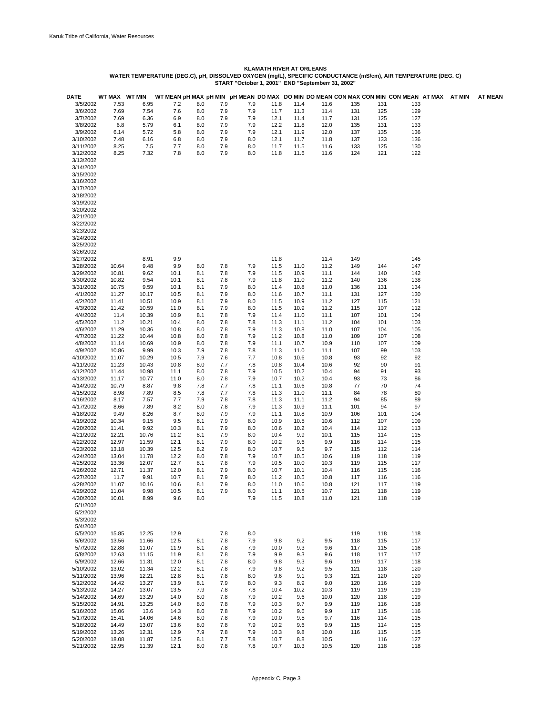| <b>DATE</b>            | WT MAX WT MIN  |                |              |            |            |            |              |              |              |            |            | WT MEAN pH MAX pH MIN pH MEAN DO MAX DO MIN DO MEAN CON MAX CON MIN CON MEAN AT MAX AT MIN |  | <b>AT MEAN</b> |
|------------------------|----------------|----------------|--------------|------------|------------|------------|--------------|--------------|--------------|------------|------------|--------------------------------------------------------------------------------------------|--|----------------|
| 3/5/2002               | 7.53           | 6.95           | 7.2          | 8.0        | 7.9        | 7.9        | 11.8         | 11.4         | 11.6         | 135        | 131        | 133                                                                                        |  |                |
| 3/6/2002               | 7.69           | 7.54           | 7.6          | 8.0        | 7.9        | 7.9        | 11.7         | 11.3         | 11.4         | 131        | 125        | 129                                                                                        |  |                |
| 3/7/2002               | 7.69           | 6.36           | 6.9          | 8.0        | 7.9        | 7.9        | 12.1         | 11.4         | 11.7         | 131        | 125        | 127                                                                                        |  |                |
| 3/8/2002<br>3/9/2002   | 6.8<br>6.14    | 5.79<br>5.72   | 6.1<br>5.8   | 8.0<br>8.0 | 7.9<br>7.9 | 7.9<br>7.9 | 12.2<br>12.1 | 11.8<br>11.9 | 12.0<br>12.0 | 135<br>137 | 131<br>135 | 133<br>136                                                                                 |  |                |
| 3/10/2002              | 7.48           | 6.16           | 6.8          | 8.0        | 7.9        | 8.0        | 12.1         | 11.7         | 11.8         | 137        | 133        | 136                                                                                        |  |                |
| 3/11/2002              | 8.25           |                | 7.5<br>7.7   | 8.0        | 7.9        | 8.0        | 11.7         | 11.5         | 11.6         | 133        | 125        | 130                                                                                        |  |                |
| 3/12/2002              | 8.25           | 7.32           | 7.8          | 8.0        | 7.9        | 8.0        | 11.8         | 11.6         | 11.6         | 124        | 121        | 122                                                                                        |  |                |
| 3/13/2002              |                |                |              |            |            |            |              |              |              |            |            |                                                                                            |  |                |
| 3/14/2002<br>3/15/2002 |                |                |              |            |            |            |              |              |              |            |            |                                                                                            |  |                |
| 3/16/2002              |                |                |              |            |            |            |              |              |              |            |            |                                                                                            |  |                |
| 3/17/2002              |                |                |              |            |            |            |              |              |              |            |            |                                                                                            |  |                |
| 3/18/2002              |                |                |              |            |            |            |              |              |              |            |            |                                                                                            |  |                |
| 3/19/2002              |                |                |              |            |            |            |              |              |              |            |            |                                                                                            |  |                |
| 3/20/2002              |                |                |              |            |            |            |              |              |              |            |            |                                                                                            |  |                |
| 3/21/2002<br>3/22/2002 |                |                |              |            |            |            |              |              |              |            |            |                                                                                            |  |                |
| 3/23/2002              |                |                |              |            |            |            |              |              |              |            |            |                                                                                            |  |                |
| 3/24/2002              |                |                |              |            |            |            |              |              |              |            |            |                                                                                            |  |                |
| 3/25/2002              |                |                |              |            |            |            |              |              |              |            |            |                                                                                            |  |                |
| 3/26/2002              |                |                |              |            |            |            |              |              |              |            |            |                                                                                            |  |                |
| 3/27/2002              |                | 8.91           | 9.9          |            |            |            | 11.8         |              | 11.4         | 149        |            | 145                                                                                        |  |                |
| 3/28/2002              | 10.64          | 9.48           | 9.9          | 8.0        | 7.8        | 7.9        | 11.5         | 11.0         | 11.2         | 149        | 144        | 147                                                                                        |  |                |
| 3/29/2002<br>3/30/2002 | 10.81<br>10.82 | 9.62<br>9.54   | 10.1<br>10.1 | 8.1<br>8.1 | 7.8<br>7.8 | 7.9<br>7.9 | 11.5<br>11.8 | 10.9<br>11.0 | 11.1<br>11.2 | 144<br>140 | 140<br>136 | 142<br>138                                                                                 |  |                |
| 3/31/2002              | 10.75          | 9.59           | 10.1         | 8.1        | 7.9        | 8.0        | 11.4         | 10.8         | 11.0         | 136        | 131        | 134                                                                                        |  |                |
| 4/1/2002               | 11.27          | 10.17          | 10.5         | 8.1        | 7.9        | 8.0        | 11.6         | 10.7         | 11.1         | 131        | 127        | 130                                                                                        |  |                |
| 4/2/2002               | 11.41          | 10.51          | 10.9         | 8.1        | 7.9        | 8.0        | 11.5         | 10.9         | 11.2         | 127        | 115        | 121                                                                                        |  |                |
| 4/3/2002               | 11.42          | 10.59          | 11.0         | 8.1        | 7.9        | 8.0        | 11.5         | 10.9         | 11.2         | 115        | 107        | 112                                                                                        |  |                |
| 4/4/2002               | 11.4           | 10.39          | 10.9         | 8.1        | 7.8        | 7.9        | 11.4         | 11.0         | 11.1         | 107        | 101        | 104                                                                                        |  |                |
| 4/5/2002<br>4/6/2002   | 11.2<br>11.29  | 10.21<br>10.36 | 10.4<br>10.8 | 8.0<br>8.0 | 7.8<br>7.8 | 7.8<br>7.9 | 11.3<br>11.3 | 11.1<br>10.8 | 11.2<br>11.0 | 104<br>107 | 101<br>104 | 103<br>105                                                                                 |  |                |
| 4/7/2002               | 11.22          | 10.44          | 10.8         | 8.0        | 7.8        | 7.9        | 11.2         | 10.8         | 11.0         | 109        | 107        | 108                                                                                        |  |                |
| 4/8/2002               | 11.14          | 10.69          | 10.9         | 8.0        | 7.8        | 7.9        | 11.1         | 10.7         | 10.9         | 110        | 107        | 109                                                                                        |  |                |
| 4/9/2002               | 10.86          | 9.99           | 10.3         | 7.9        | 7.8        | 7.8        | 11.3         | 11.0         | 11.1         | 107        | 99         | 103                                                                                        |  |                |
| 4/10/2002              | 11.07          | 10.29          | 10.5         | 7.9        | 7.6        | 7.7        | 10.8         | 10.6         | 10.8         | 93         | 92         | 92                                                                                         |  |                |
| 4/11/2002              | 11.23          | 10.43          | 10.8         | 8.0        | 7.7        | 7.8        | 10.8         | 10.4         | 10.6         | 92         | 90         | 91                                                                                         |  |                |
| 4/12/2002<br>4/13/2002 | 11.44<br>11.17 | 10.98<br>10.77 | 11.1<br>11.0 | 8.0<br>8.0 | 7.8<br>7.8 | 7.9<br>7.9 | 10.5<br>10.7 | 10.2<br>10.2 | 10.4<br>10.4 | 94<br>93   | 91<br>73   | 93<br>86                                                                                   |  |                |
| 4/14/2002              | 10.79          | 8.87           | 9.8          | 7.8        | 7.7        | 7.8        | 11.1         | 10.6         | 10.8         | 77         | 70         | 74                                                                                         |  |                |
| 4/15/2002              | 8.98           | 7.89           | 8.5          | 7.8        | 7.7        | 7.8        | 11.3         | 11.0         | 11.1         | 84         | 78         | 80                                                                                         |  |                |
| 4/16/2002              | 8.17           | 7.57           | 7.7          | 7.9        | 7.8        | 7.8        | 11.3         | 11.1         | 11.2         | 94         | 85         | 89                                                                                         |  |                |
| 4/17/2002              | 8.66           | 7.89           | 8.2          | 8.0        | 7.8        | 7.9        | 11.3         | 10.9         | 11.1         | 101        | 94         | 97                                                                                         |  |                |
| 4/18/2002<br>4/19/2002 | 9.49           | 8.26           | 8.7<br>9.5   | 8.0<br>8.1 | 7.9<br>7.9 | 7.9<br>8.0 | 11.1<br>10.9 | 10.8         | 10.9<br>10.6 | 106<br>112 | 101<br>107 | 104<br>109                                                                                 |  |                |
| 4/20/2002              | 10.34<br>11.41 | 9.15<br>9.92   | 10.3         | 8.1        | 7.9        | 8.0        | 10.6         | 10.5<br>10.2 | 10.4         | 114        | 112        | 113                                                                                        |  |                |
| 4/21/2002              | 12.21          | 10.76          | 11.2         | 8.1        | 7.9        | 8.0        | 10.4         | 9.9          | 10.1         | 115        | 114        | 115                                                                                        |  |                |
| 4/22/2002              | 12.97          | 11.59          | 12.1         | 8.1        | 7.9        | 8.0        | 10.2         | 9.6          | 9.9          | 116        | 114        | 115                                                                                        |  |                |
| 4/23/2002              | 13.18          | 10.39          | 12.5         | 8.2        | 7.9        | 8.0        | 10.7         | 9.5          | 9.7          | 115        | 112        | 114                                                                                        |  |                |
| 4/24/2002              | 13.04          | 11.78          | 12.2         | 8.0        | 7.8        | 7.9        | 10.7         | 10.5         | 10.6         | 119        | 118        | 119                                                                                        |  |                |
| 4/25/2002<br>4/26/2002 | 13.36<br>12.71 | 12.07<br>11.37 | 12.7<br>12.0 | 8.1<br>8.1 | 7.8<br>7.9 | 7.9<br>8.0 | 10.5<br>10.7 | 10.0<br>10.1 | 10.3<br>10.4 | 119<br>116 | 115<br>115 | 117<br>116                                                                                 |  |                |
| 4/27/2002              | 11.7           | 9.91           | 10.7         | 8.1        | 7.9        | 8.0        | 11.2         | 10.5         | 10.8         | 117        | 116        | 116                                                                                        |  |                |
| 4/28/2002              | 11.07          | 10.16          | 10.6         | 8.1        | 7.9        | 8.0        | 11.0         | 10.6         | 10.8         | 121        | 117        | 119                                                                                        |  |                |
| 4/29/2002              | 11.04          | 9.98           | 10.5         | 8.1        | 7.9        | 8.0        | 11.1         | 10.5         | 10.7         | 121        | 118        | 119                                                                                        |  |                |
| 4/30/2002              | 10.01          | 8.99           | 9.6          | 8.0        |            | 7.9        | 11.5         | 10.8         | 11.0         | 121        | 118        | 119                                                                                        |  |                |
| 5/1/2002               |                |                |              |            |            |            |              |              |              |            |            |                                                                                            |  |                |
| 5/2/2002<br>5/3/2002   |                |                |              |            |            |            |              |              |              |            |            |                                                                                            |  |                |
| 5/4/2002               |                |                |              |            |            |            |              |              |              |            |            |                                                                                            |  |                |
| 5/5/2002               | 15.85          | 12.25          | 12.9         |            | 7.8        | 8.0        |              |              |              | 119        | 118        | 118                                                                                        |  |                |
| 5/6/2002               | 13.56          | 11.66          | 12.5         | 8.1        | 7.8        | 7.9        | 9.8          | 9.2          | 9.5          | 118        | 115        | 117                                                                                        |  |                |
| 5/7/2002               | 12.88          | 11.07          | 11.9         | 8.1        | 7.8        | 7.9        | 10.0         | 9.3          | 9.6          | 117        | 115        | 116                                                                                        |  |                |
| 5/8/2002               | 12.63          | 11.15          | 11.9         | 8.1        | 7.8        | 7.9        | 9.9          | 9.3          | 9.6          | 118        | 117        | 117                                                                                        |  |                |
| 5/9/2002               | 12.66          | 11.31          | 12.0         | 8.1        | 7.8        | 8.0        | 9.8          | 9.3          | 9.6          | 119        | 117        | 118                                                                                        |  |                |
| 5/10/2002<br>5/11/2002 | 13.02<br>13.96 | 11.34<br>12.21 | 12.2<br>12.8 | 8.1<br>8.1 | 7.8<br>7.8 | 7.9<br>8.0 | 9.8<br>9.6   | 9.2<br>9.1   | 9.5<br>9.3   | 121<br>121 | 118<br>120 | 120<br>120                                                                                 |  |                |
| 5/12/2002              | 14.42          | 13.27          | 13.9         | 8.1        | 7.9        | 8.0        | 9.3          | 8.9          | 9.0          | 120        | 116        | 119                                                                                        |  |                |
| 5/13/2002              | 14.27          | 13.07          | 13.5         | 7.9        | 7.8        | 7.8        | 10.4         | 10.2         | 10.3         | 119        | 119        | 119                                                                                        |  |                |
| 5/14/2002              | 14.69          | 13.29          | 14.0         | 8.0        | 7.8        | 7.9        | 10.2         | 9.6          | 10.0         | 120        | 118        | 119                                                                                        |  |                |
| 5/15/2002              | 14.91          | 13.25          | 14.0         | 8.0        | 7.8        | 7.9        | 10.3         | 9.7          | 9.9          | 119        | 116        | 118                                                                                        |  |                |
| 5/16/2002              | 15.06          | 13.6           | 14.3         | 8.0        | 7.8        | 7.9        | 10.2         | 9.6          | 9.9          | 117        | 115        | 116                                                                                        |  |                |
| 5/17/2002<br>5/18/2002 | 15.41<br>14.49 | 14.06<br>13.07 | 14.6<br>13.6 | 8.0<br>8.0 | 7.8<br>7.8 | 7.9<br>7.9 | 10.0<br>10.2 | 9.5<br>9.6   | 9.7<br>9.9   | 116<br>115 | 114<br>114 | 115<br>115                                                                                 |  |                |
| 5/19/2002              | 13.26          | 12.31          | 12.9         | 7.9        | 7.8        | 7.9        | 10.3         | 9.8          | 10.0         | 116        | 115        | 115                                                                                        |  |                |
| 5/20/2002              | 18.08          | 11.87          | 12.5         | 8.1        | 7.7        | 7.8        | 10.7         | 8.8          | 10.5         |            | 116        | 127                                                                                        |  |                |
| 5/21/2002              | 12.95          | 11.39          | 12.1         | 8.0        | 7.8        | 7.8        | 10.7         | 10.3         | 10.5         | 120        | 118        | 118                                                                                        |  |                |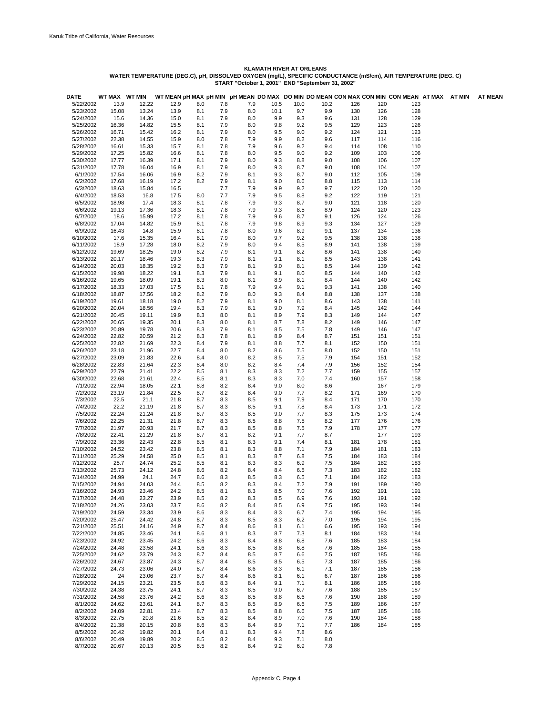| DATE                   | WT MAX WT MIN  |                |              |            |            |            |            |            |            |            |            | WT MEAN pH MAX pH MIN pH MEAN DO MAX DO MIN DO MEAN CON MAX CON MIN CON MEAN AT MAX AT MIN |  | <b>AT MEAN</b> |
|------------------------|----------------|----------------|--------------|------------|------------|------------|------------|------------|------------|------------|------------|--------------------------------------------------------------------------------------------|--|----------------|
| 5/22/2002              | 13.9           | 12.22          | 12.9         | 8.0        | 7.8        | 7.9        | 10.5       | 10.0       | 10.2       | 126        | 120        | 123                                                                                        |  |                |
| 5/23/2002              | 15.08          | 13.24          | 13.9         | 8.1        | 7.9        | 8.0        | 10.1       | 9.7        | 9.9        | 130        | 126        | 128                                                                                        |  |                |
| 5/24/2002<br>5/25/2002 | 15.6<br>16.36  | 14.36<br>14.82 | 15.0<br>15.5 | 8.1<br>8.1 | 7.9<br>7.9 | 8.0<br>8.0 | 9.9<br>9.8 | 9.3<br>9.2 | 9.6<br>9.5 | 131<br>129 | 128<br>123 | 129<br>126                                                                                 |  |                |
| 5/26/2002              | 16.71          | 15.42          | 16.2         | 8.1        | 7.9        | 8.0        | 9.5        | 9.0        | 9.2        | 124        | 121        | 123                                                                                        |  |                |
| 5/27/2002              | 22.38          | 14.55          | 15.9         | 8.0        | 7.8        | 7.9        | 9.9        | 8.2        | 9.6        | 117        | 114        | 116                                                                                        |  |                |
| 5/28/2002              | 16.61          | 15.33          | 15.7         | 8.1        | 7.8        | 7.9        | 9.6        | 9.2        | 9.4        | 114        | 108        | 110                                                                                        |  |                |
| 5/29/2002              | 17.25          | 15.82          | 16.6         | 8.1        | 7.8        | 8.0        | 9.5        | 9.0        | 9.2        | 109        | 103        | 106                                                                                        |  |                |
| 5/30/2002              | 17.77          | 16.39          | 17.1         | 8.1        | 7.9        | 8.0        | 9.3        | 8.8        | 9.0        | 108        | 106        | 107                                                                                        |  |                |
| 5/31/2002              | 17.78          | 16.04          | 16.9         | 8.1        | 7.9        | 8.0        | 9.3        | 8.7        | 9.0        | 108        | 104        | 107                                                                                        |  |                |
| 6/1/2002               | 17.54          | 16.06          | 16.9         | 8.2        | 7.9        | 8.1        | 9.3        | 8.7        | 9.0        | 112        | 105        | 109                                                                                        |  |                |
| 6/2/2002               | 17.68          | 16.19          | 17.2         | 8.2        | 7.9        | 8.1        | 9.0        | 8.6        | 8.8        | 115        | 113        | 114                                                                                        |  |                |
| 6/3/2002               | 18.63          | 15.84          | 16.5         |            | 7.7        | 7.9        | 9.9        | 9.2        | 9.7        | 122        | 120        | 120                                                                                        |  |                |
| 6/4/2002               | 18.53          | 16.8           | 17.5         | 8.0        | 7.7        | 7.9        | 9.5        | 8.8        | 9.2        | 122        | 119        | 121                                                                                        |  |                |
| 6/5/2002               | 18.98          | 17.4           | 18.3         | 8.1        | 7.8        | 7.9        | 9.3        | 8.7        | 9.0        | 121        | 118        | 120                                                                                        |  |                |
| 6/6/2002<br>6/7/2002   | 19.13          | 17.36          | 18.3         | 8.1        | 7.8        | 7.9<br>7.9 | 9.3        | 8.5        | 8.9        | 124        | 120<br>124 | 123<br>126                                                                                 |  |                |
| 6/8/2002               | 18.6<br>17.04  | 15.99<br>14.82 | 17.2<br>15.9 | 8.1<br>8.1 | 7.8<br>7.8 | 7.9        | 9.6<br>9.8 | 8.7<br>8.9 | 9.1<br>9.3 | 126<br>134 | 127        | 129                                                                                        |  |                |
| 6/9/2002               | 16.43          | 14.8           | 15.9         | 8.1        | 7.8        | 8.0        | 9.6        | 8.9        | 9.1        | 137        | 134        | 136                                                                                        |  |                |
| 6/10/2002              | 17.6           | 15.35          | 16.4         | 8.1        | 7.9        | 8.0        | 9.7        | 9.2        | 9.5        | 138        | 138        | 138                                                                                        |  |                |
| 6/11/2002              | 18.9           | 17.28          | 18.0         | 8.2        | 7.9        | 8.0        | 9.4        | 8.5        | 8.9        | 141        | 138        | 139                                                                                        |  |                |
| 6/12/2002              | 19.69          | 18.25          | 19.0         | 8.2        | 7.9        | 8.1        | 9.1        | 8.2        | 8.6        | 141        | 138        | 140                                                                                        |  |                |
| 6/13/2002              | 20.17          | 18.46          | 19.3         | 8.3        | 7.9        | 8.1        | 9.1        | 8.1        | 8.5        | 143        | 138        | 141                                                                                        |  |                |
| 6/14/2002              | 20.03          | 18.35          | 19.2         | 8.3        | 7.9        | 8.1        | 9.0        | 8.1        | 8.5        | 144        | 139        | 142                                                                                        |  |                |
| 6/15/2002              | 19.98          | 18.22          | 19.1         | 8.3        | 7.9        | 8.1        | 9.1        | 8.0        | 8.5        | 144        | 140        | 142                                                                                        |  |                |
| 6/16/2002              | 19.65          | 18.09          | 19.1         | 8.3        | 8.0        | 8.1        | 8.9        | 8.1        | 8.4        | 144        | 140        | 142                                                                                        |  |                |
| 6/17/2002              | 18.33          | 17.03          | 17.5         | 8.1        | 7.8        | 7.9        | 9.4        | 9.1        | 9.3        | 141        | 138        | 140                                                                                        |  |                |
| 6/18/2002              | 18.87          | 17.56          | 18.2         | 8.2        | 7.9        | 8.0        | 9.3        | 8.4        | 8.8        | 138        | 137        | 138                                                                                        |  |                |
| 6/19/2002              | 19.61          | 18.18          | 19.0         | 8.2        | 7.9        | 8.1        | 9.0        | 8.1        | 8.6        | 143        | 138        | 141                                                                                        |  |                |
| 6/20/2002<br>6/21/2002 | 20.04<br>20.45 | 18.56<br>19.11 | 19.4<br>19.9 | 8.3<br>8.3 | 7.9<br>8.0 | 8.1<br>8.1 | 9.0<br>8.9 | 7.9<br>7.9 | 8.4<br>8.3 | 145<br>149 | 142<br>144 | 144<br>147                                                                                 |  |                |
| 6/22/2002              | 20.65          | 19.35          | 20.1         | 8.3        | 8.0        | 8.1        | 8.7        | 7.8        | 8.2        | 149        | 146        | 147                                                                                        |  |                |
| 6/23/2002              | 20.89          | 19.78          | 20.6         | 8.3        | 7.9        | 8.1        | 8.5        | 7.5        | 7.8        | 149        | 146        | 147                                                                                        |  |                |
| 6/24/2002              | 22.82          | 20.59          | 21.2         | 8.3        | 7.8        | 8.1        | 8.9        | 8.4        | 8.7        | 151        | 151        | 151                                                                                        |  |                |
| 6/25/2002              | 22.82          | 21.69          | 22.3         | 8.4        | 7.9        | 8.1        | 8.8        | 7.7        | 8.1        | 152        | 150        | 151                                                                                        |  |                |
| 6/26/2002              | 23.18          | 21.96          | 22.7         | 8.4        | 8.0        | 8.2        | 8.6        | 7.5        | 8.0        | 152        | 150        | 151                                                                                        |  |                |
| 6/27/2002              | 23.09          | 21.83          | 22.6         | 8.4        | 8.0        | 8.2        | 8.5        | 7.5        | 7.9        | 154        | 151        | 152                                                                                        |  |                |
| 6/28/2002              | 22.83          | 21.64          | 22.3         | 8.4        | 8.0        | 8.2        | 8.4        | 7.4        | 7.9        | 156        | 152        | 154                                                                                        |  |                |
| 6/29/2002              | 22.79          | 21.41          | 22.2         | 8.5        | 8.1        | 8.3        | 8.3        | 7.2        | 7.7        | 159        | 155        | 157                                                                                        |  |                |
| 6/30/2002              | 22.68          | 21.61          | 22.4         | 8.5        | 8.1        | 8.3        | 8.3        | 7.0        | 7.4        | 160        | 157        | 158                                                                                        |  |                |
| 7/1/2002               | 22.94          | 18.05          | 22.1         | 8.8        | 8.2        | 8.4        | 9.0        | 8.0        | 8.6        |            | 167        | 179                                                                                        |  |                |
| 7/2/2002               | 23.19          | 21.84          | 22.5         | 8.7        | 8.2        | 8.4        | 9.0        | 7.7        | 8.2        | 171        | 169        | 170                                                                                        |  |                |
| 7/3/2002               | 22.5<br>22.2   | 21.1           | 21.8         | 8.7        | 8.3        | 8.5        | 9.1        | 7.9        | 8.4        | 171        | 170        | 170                                                                                        |  |                |
| 7/4/2002<br>7/5/2002   | 22.24          | 21.19<br>21.24 | 21.8<br>21.8 | 8.7<br>8.7 | 8.3<br>8.3 | 8.5<br>8.5 | 9.1<br>9.0 | 7.8<br>7.7 | 8.4<br>8.3 | 173<br>175 | 171<br>173 | 172<br>174                                                                                 |  |                |
| 7/6/2002               | 22.25          | 21.31          | 21.8         | 8.7        | 8.3        | 8.5        | 8.8        | 7.5        | 8.2        | 177        | 176        | 176                                                                                        |  |                |
| 7/7/2002               | 21.97          | 20.93          | 21.7         | 8.7        | 8.3        | 8.5        | 8.8        | 7.5        | 7.9        | 178        | 177        | 177                                                                                        |  |                |
| 7/8/2002               | 22.41          | 21.29          | 21.8         | 8.7        | 8.1        | 8.2        | 9.1        | 7.7        | 8.7        |            | 177        | 193                                                                                        |  |                |
| 7/9/2002               | 23.36          | 22.43          | 22.8         | 8.5        | 8.1        | 8.3        | 9.1        | 7.4        | 8.1        | 181        | 178        | 181                                                                                        |  |                |
| 7/10/2002              | 24.52          | 23.42          | 23.8         | 8.5        | 8.1        | 8.3        | 8.8        | 7.1        | 7.9        | 184        | 181        | 183                                                                                        |  |                |
| 7/11/2002              | 25.29          | 24.58          | 25.0         | 8.5        | 8.1        | 8.3        | 8.7        | 6.8        | 7.5        | 184        | 183        | 184                                                                                        |  |                |
| 7/12/2002              | 25.7           | 24.74          | 25.2         | 8.5        | 8.1        | 8.3        | 8.3        | 6.9        | 7.5        | 184        | 182        | 183                                                                                        |  |                |
| 7/13/2002              | 25.73          | 24.12          | 24.8         | 8.6        | 8.2        | 8.4        | 8.4        | 6.5        | 7.3        | 183        | 182        | 182                                                                                        |  |                |
| 7/14/2002              | 24.99          | 24.1           | 24.7         | 8.6        | 8.3        | 8.5        | 8.3        | 6.5        | 7.1        | 184        | 182        | 183                                                                                        |  |                |
| 7/15/2002              | 24.94          | 24.03          | 24.4         | 8.5        | 8.2        | 8.3        | 8.4        | 7.2        | 7.9        | 191        | 189        | 190                                                                                        |  |                |
| 7/16/2002              | 24.93          | 23.46          | 24.2         | 8.5        | 8.1        | 8.3        | 8.5        | 7.0        | 7.6        | 192        | 191        | 191                                                                                        |  |                |
| 7/17/2002<br>7/18/2002 | 24.48<br>24.26 | 23.27<br>23.03 | 23.9<br>23.7 | 8.5<br>8.6 | 8.2<br>8.2 | 8.3<br>8.4 | 8.5<br>8.5 | 6.9<br>6.9 | 7.6<br>7.5 | 193<br>195 | 191<br>193 | 192<br>194                                                                                 |  |                |
| 7/19/2002              | 24.59          | 23.34          | 23.9         | 8.6        | 8.3        | 8.4        | 8.3        | 6.7        | 7.4        | 195        | 194        | 195                                                                                        |  |                |
| 7/20/2002              | 25.47          | 24.42          | 24.8         | 8.7        | 8.3        | 8.5        | 8.3        | 6.2        | 7.0        | 195        | 194        | 195                                                                                        |  |                |
| 7/21/2002              | 25.51          | 24.16          | 24.9         | 8.7        | 8.4        | 8.6        | 8.1        | 6.1        | 6.6        | 195        | 193        | 194                                                                                        |  |                |
| 7/22/2002              | 24.85          | 23.46          | 24.1         | 8.6        | 8.1        | 8.3        | 8.7        | 7.3        | 8.1        | 184        | 183        | 184                                                                                        |  |                |
| 7/23/2002              | 24.92          | 23.45          | 24.2         | 8.6        | 8.3        | 8.4        | 8.8        | 6.8        | 7.6        | 185        | 183        | 184                                                                                        |  |                |
| 7/24/2002              | 24.48          | 23.58          | 24.1         | 8.6        | 8.3        | 8.5        | 8.8        | 6.8        | 7.6        | 185        | 184        | 185                                                                                        |  |                |
| 7/25/2002              | 24.62          | 23.79          | 24.3         | 8.7        | 8.4        | 8.5        | 8.7        | 6.6        | 7.5        | 187        | 185        | 186                                                                                        |  |                |
| 7/26/2002              | 24.67          | 23.87          | 24.3         | 8.7        | 8.4        | 8.5        | 8.5        | 6.5        | 7.3        | 187        | 185        | 186                                                                                        |  |                |
| 7/27/2002              | 24.73          | 23.06          | 24.0         | 8.7        | 8.4        | 8.6        | 8.3        | 6.1        | 7.1        | 187        | 185        | 186                                                                                        |  |                |
| 7/28/2002              | 24             | 23.06          | 23.7         | 8.7        | 8.4        | 8.6        | 8.1        | 6.1        | 6.7        | 187        | 186        | 186                                                                                        |  |                |
| 7/29/2002              | 24.15          | 23.21          | 23.5         | 8.6        | 8.3        | 8.4        | 9.1        | 7.1        | 8.1        | 186        | 185        | 186                                                                                        |  |                |
| 7/30/2002              | 24.38          | 23.75          | 24.1         | 8.7        | 8.3        | 8.5        | 9.0        | 6.7        | 7.6        | 188        | 185        | 187                                                                                        |  |                |
| 7/31/2002              | 24.58          | 23.76          | 24.2         | 8.6        | 8.3        | 8.5        | 8.8        | 6.6        | 7.6        | 190        | 188        | 189                                                                                        |  |                |
| 8/1/2002               | 24.62          | 23.61          | 24.1         | 8.7        | 8.3        | 8.5        | 8.9        | 6.6        | 7.5        | 189        | 186        | 187                                                                                        |  |                |
| 8/2/2002<br>8/3/2002   | 24.09<br>22.75 | 22.81<br>20.8  | 23.4<br>21.6 | 8.7<br>8.5 | 8.3        | 8.5<br>8.4 | 8.8<br>8.9 | 6.6<br>7.0 | 7.5<br>7.6 | 187<br>190 | 185<br>184 | 186<br>188                                                                                 |  |                |
| 8/4/2002               | 21.38          | 20.15          | 20.8         | 8.6        | 8.2<br>8.3 | 8.4        | 8.9        | 7.1        | 7.7        | 186        | 184        | 185                                                                                        |  |                |
| 8/5/2002               | 20.42          | 19.82          | 20.1         | 8.4        | 8.1        | 8.3        | 9.4        | 7.8        | 8.6        |            |            |                                                                                            |  |                |
| 8/6/2002               | 20.49          | 19.89          | 20.2         | 8.5        | 8.2        | 8.4        | 9.3        | 7.1        | 8.0        |            |            |                                                                                            |  |                |
| 8/7/2002               | 20.67          | 20.13          | 20.5         | 8.5        | 8.2        | 8.4        | 9.2        | 6.9        | 7.8        |            |            |                                                                                            |  |                |